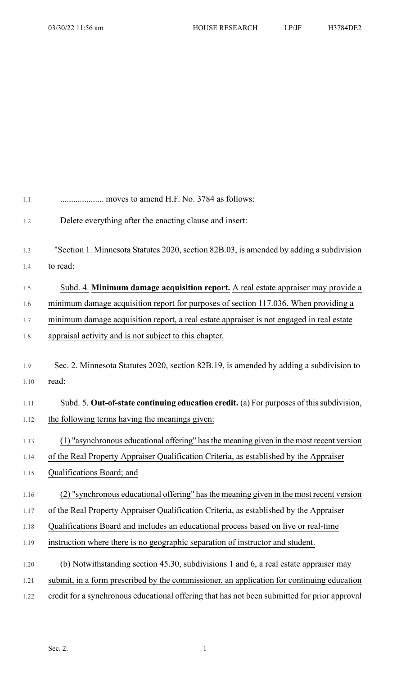| 1.1  | moves to amend H.F. No. 3784 as follows:                                                                                                                                                  |
|------|-------------------------------------------------------------------------------------------------------------------------------------------------------------------------------------------|
|      |                                                                                                                                                                                           |
| 1.2  | Delete everything after the enacting clause and insert:                                                                                                                                   |
|      |                                                                                                                                                                                           |
| 1.3  | "Section 1. Minnesota Statutes 2020, section 82B.03, is amended by adding a subdivision                                                                                                   |
| 1.4  | to read:                                                                                                                                                                                  |
| 1.5  | Subd. 4. Minimum damage acquisition report. A real estate appraiser may provide a                                                                                                         |
| 1.6  | minimum damage acquisition report for purposes of section 117.036. When providing a                                                                                                       |
| 1.7  | minimum damage acquisition report, a real estate appraiser is not engaged in real estate                                                                                                  |
| 1.8  | appraisal activity and is not subject to this chapter.                                                                                                                                    |
|      |                                                                                                                                                                                           |
| 1.9  | Sec. 2. Minnesota Statutes 2020, section 82B.19, is amended by adding a subdivision to                                                                                                    |
| 1.10 | read:                                                                                                                                                                                     |
|      |                                                                                                                                                                                           |
| 1.11 | Subd. 5. Out-of-state continuing education credit. (a) For purposes of this subdivision,                                                                                                  |
| 1.12 | the following terms having the meanings given:                                                                                                                                            |
|      |                                                                                                                                                                                           |
| 1.13 | (1) "asynchronous educational offering" has the meaning given in the most recent version                                                                                                  |
| 1.14 | of the Real Property Appraiser Qualification Criteria, as established by the Appraiser                                                                                                    |
| 1.15 | Qualifications Board; and                                                                                                                                                                 |
| 1.16 | (2) "synchronous educational offering" has the meaning given in the most recent version                                                                                                   |
| 1.17 | of the Real Property Appraiser Qualification Criteria, as established by the Appraiser                                                                                                    |
| 1.18 | Qualifications Board and includes an educational process based on live or real-time                                                                                                       |
| 1.19 | instruction where there is no geographic separation of instructor and student.                                                                                                            |
|      |                                                                                                                                                                                           |
| 1.20 | (b) Notwithstanding section 45.30, subdivisions 1 and 6, a real estate appraiser may                                                                                                      |
| 1.21 | submit, in a form prescribed by the commissioner, an application for continuing education<br>credit for a synchronous educational offering that has not been submitted for prior approval |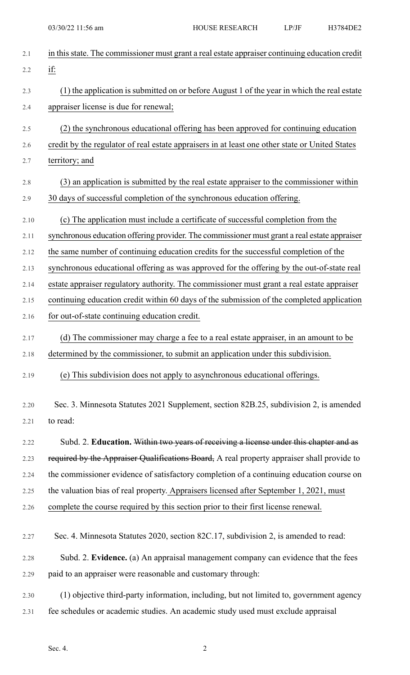| 2.1  | in this state. The commissioner must grant a real estate appraiser continuing education credit |
|------|------------------------------------------------------------------------------------------------|
| 2.2  | if:                                                                                            |
| 2.3  | (1) the application is submitted on or before August 1 of the year in which the real estate    |
| 2.4  | appraiser license is due for renewal;                                                          |
| 2.5  | (2) the synchronous educational offering has been approved for continuing education            |
| 2.6  | credit by the regulator of real estate appraisers in at least one other state or United States |
| 2.7  | territory; and                                                                                 |
| 2.8  | (3) an application is submitted by the real estate appraiser to the commissioner within        |
| 2.9  | 30 days of successful completion of the synchronous education offering.                        |
| 2.10 | (c) The application must include a certificate of successful completion from the               |
| 2.11 | synchronous education offering provider. The commissioner must grant a real estate appraiser   |
| 2.12 | the same number of continuing education credits for the successful completion of the           |
| 2.13 | synchronous educational offering as was approved for the offering by the out-of-state real     |
| 2.14 | estate appraiser regulatory authority. The commissioner must grant a real estate appraiser     |
| 2.15 | continuing education credit within 60 days of the submission of the completed application      |
| 2.16 | for out-of-state continuing education credit.                                                  |
| 2.17 | The commissioner may charge a fee to a real estate appraiser, in an amount to be<br>(d)        |
| 2.18 | determined by the commissioner, to submit an application under this subdivision.               |
| 2.19 | (e) This subdivision does not apply to asynchronous educational offerings.                     |
| 2.20 | Sec. 3. Minnesota Statutes 2021 Supplement, section 82B.25, subdivision 2, is amended          |
| 2.21 | to read:                                                                                       |
| 2.22 | Subd. 2. Education. Within two years of receiving a license under this chapter and as          |
| 2.23 | required by the Appraiser Qualifications Board, A real property appraiser shall provide to     |
| 2.24 | the commissioner evidence of satisfactory completion of a continuing education course on       |
| 2.25 | the valuation bias of real property. Appraisers licensed after September 1, 2021, must         |
| 2.26 | complete the course required by this section prior to their first license renewal.             |
| 2.27 | Sec. 4. Minnesota Statutes 2020, section 82C.17, subdivision 2, is amended to read:            |
| 2.28 | Subd. 2. Evidence. (a) An appraisal management company can evidence that the fees              |
| 2.29 | paid to an appraiser were reasonable and customary through:                                    |
| 2.30 | (1) objective third-party information, including, but not limited to, government agency        |
| 2.31 | fee schedules or academic studies. An academic study used must exclude appraisal               |